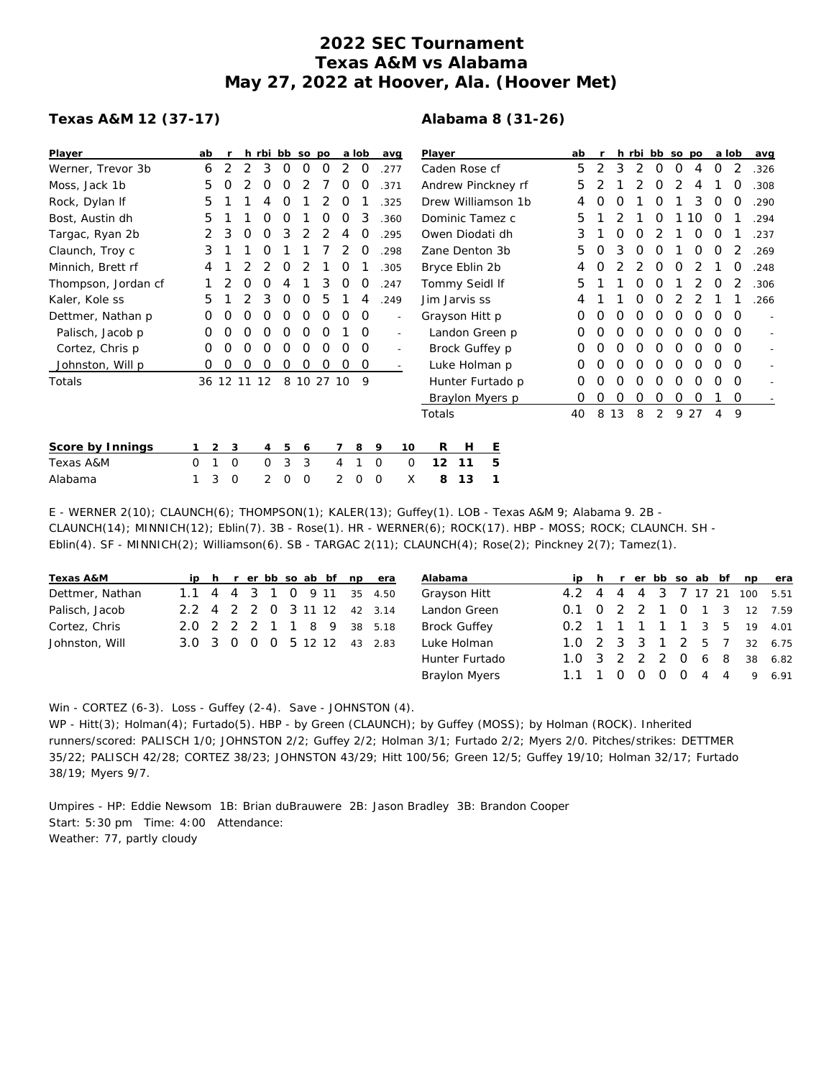# **2022 SEC Tournament Texas A&M vs Alabama May 27, 2022 at Hoover, Ala. (Hoover Met)**

# **Texas A&M 12 (37-17)**

# **Alabama 8 (31-26)**

| Player              | ab |                |             | h rbi bb so po |   |            |   |   | a lob    |   | avg                      | Player         |    |                    | ab |   |          |   | h rbi bb so po |          |    | a lob    |          | avg  |
|---------------------|----|----------------|-------------|----------------|---|------------|---|---|----------|---|--------------------------|----------------|----|--------------------|----|---|----------|---|----------------|----------|----|----------|----------|------|
| Werner, Trevor 3b   | 6  | 2              | 2           | 3              | 0 | ი          | Ο |   | O        |   | .277                     | Caden Rose cf  |    |                    | 5  | 2 | 3        | 2 | $\Omega$       | $\Omega$ | 4  | $\Omega$ | 2        | .326 |
| Moss, Jack 1b       | 5  |                |             | Ο              | Ο |            |   | Ο | O        |   | .371                     |                |    | Andrew Pinckney rf | 5  |   |          |   | O              |          | 4  |          | O        | .308 |
| Rock, Dylan If      | 5  |                |             | 4              | Ο |            |   | O |          |   | .325                     |                |    | Drew Williamson 1b |    | O | O        |   | Ο              |          | 3  | $\Omega$ | O        | .290 |
| Bost, Austin dh     | 5  |                |             | Ο              | Ο |            | Ο | Ο | 3        |   | .360                     |                |    | Dominic Tamez c    | 5  |   |          |   | O              |          | 10 | $\Omega$ |          | .294 |
| Targac, Ryan 2b     | 2  | 3              | O           | O              | 3 |            |   | 4 | Ο        |   | .295                     |                |    | Owen Diodati dh    | 3  |   | O        |   |                |          | O  | O        |          | .237 |
| Claunch, Troy c     | 3  |                |             |                |   |            |   |   |          |   | 298                      | Zane Denton 3b |    |                    |    |   |          |   |                |          | O  | O        |          | .269 |
| Minnich, Brett rf   | 4  |                |             |                | O |            |   |   |          |   | .305                     | Bryce Eblin 2b |    |                    |    |   |          |   | O              | O        |    |          |          | .248 |
| Thompson, Jordan cf |    |                | Ο           | Ο              | 4 |            | 3 | 0 | O        |   | .247                     | Tommy Seidl If |    |                    | 5  |   |          | Ο | O              |          |    | $\Omega$ |          | .306 |
| Kaler, Kole ss      | 5  |                |             | 3              | O | O          | 5 |   | 4        |   | 249                      | Jim Jarvis ss  |    |                    |    |   |          | O | O              |          |    |          |          | .266 |
| Dettmer, Nathan p   | 0  | O              | Ο           | Ο              | Ο | O          | 0 | O | 0        |   | $\overline{\phantom{a}}$ | Grayson Hitt p |    |                    | 0  | O | $\Omega$ | O | O              | O        | O  | $\Omega$ | $\Omega$ |      |
| Palisch, Jacob p    | Ο  |                | Ω           | Ο              | Ο | O          | O |   | $\Omega$ |   | $\sim$                   | Landon Green p |    |                    | Ο  |   |          | O | O              | O        |    | O        | $\Omega$ |      |
| Cortez, Chris p     | 0  | Ο              | Ο           | Ο              | O | O          | O | Ο | 0        |   | $\overline{\phantom{a}}$ |                |    | Brock Guffey p     | O  | Ω | O        | O | O              | O        | O  | O        | $\Omega$ |      |
| Johnston, Will p    | 0  | O              | Ο           | O              | 0 | 0          | 0 | O | 0        |   |                          |                |    | Luke Holman p      | Ο  | Ο | O        | 0 | O              | 0        | O  | O        | $\Omega$ |      |
| Totals              |    |                | 36 12 11 12 |                |   | 8 10 27 10 |   |   | 9        |   |                          |                |    | Hunter Furtado p   | 0  |   | O        | O | O              | 0        | O  | O        | $\Omega$ |      |
|                     |    |                |             |                |   |            |   |   |          |   |                          |                |    | Braylon Myers p    | 0  | 0 | 0        | 0 | 0              | 0        | 0  |          | $\Omega$ |      |
|                     |    |                |             |                |   |            |   |   |          |   |                          | Totals         |    |                    | 40 | 8 | 13       | 8 | 2              | 9        | 27 | 4        | 9        |      |
| Score by Innings    |    | $\overline{2}$ | 3           | 4              | 5 | 6          |   |   | 8        | 9 | 10                       | R              | H  | <u>E</u>           |    |   |          |   |                |          |    |          |          |      |
| Texas A&M           | 0  |                | 0           | 0              | 3 | 3          |   | 4 |          | 0 | $\Omega$                 | 12             | 11 | 5                  |    |   |          |   |                |          |    |          |          |      |
| Alabama             |    | 3              | 0           | 2              | 0 | $\circ$    |   | 2 | 0        | 0 |                          | X<br>8         | 13 |                    |    |   |          |   |                |          |    |          |          |      |

E - WERNER 2(10); CLAUNCH(6); THOMPSON(1); KALER(13); Guffey(1). LOB - Texas A&M 9; Alabama 9. 2B - CLAUNCH(14); MINNICH(12); Eblin(7). 3B - Rose(1). HR - WERNER(6); ROCK(17). HBP - MOSS; ROCK; CLAUNCH. SH - Eblin(4). SF - MINNICH(2); Williamson(6). SB - TARGAC 2(11); CLAUNCH(4); Rose(2); Pinckney 2(7); Tamez(1).

| Texas A&M       |                             |  |  |  | ip h r er bb so ab bf np era |  |
|-----------------|-----------------------------|--|--|--|------------------------------|--|
| Dettmer, Nathan |                             |  |  |  | 1.1 4 4 3 1 0 9 11 35 4.50   |  |
| Palisch, Jacob  | 2.2 4 2 2 0 3 11 12 42 3.14 |  |  |  |                              |  |
| Cortez, Chris   | 2.0 2 2 2 1 1 8 9 38 5.18   |  |  |  |                              |  |
| Johnston, Will  | 3.0 3 0 0 0 5 12 12 43 2.83 |  |  |  |                              |  |

| Alabama             |  |  |  |  | ip h r er bb so ab bf np  | era                          |
|---------------------|--|--|--|--|---------------------------|------------------------------|
| Grayson Hitt        |  |  |  |  |                           | 4.2 4 4 4 3 7 17 21 100 5.51 |
| Landon Green        |  |  |  |  |                           | 0.1 0 2 2 1 0 1 3 12 7.59    |
| <b>Brock Guffey</b> |  |  |  |  | 0.2 1 1 1 1 1 3 5 19 4.01 |                              |
| Luke Holman         |  |  |  |  |                           | 1.0 2 3 3 1 2 5 7 32 6.75    |
| Hunter Furtado      |  |  |  |  |                           | 1.0 3 2 2 2 0 6 8 38 6.82    |
| Braylon Myers       |  |  |  |  |                           | 1.1 1 0 0 0 0 4 4 9 6.91     |

Win - CORTEZ (6-3). Loss - Guffey (2-4). Save - JOHNSTON (4).

WP - Hitt(3); Holman(4); Furtado(5). HBP - by Green (CLAUNCH); by Guffey (MOSS); by Holman (ROCK). Inherited runners/scored: PALISCH 1/0; JOHNSTON 2/2; Guffey 2/2; Holman 3/1; Furtado 2/2; Myers 2/0. Pitches/strikes: DETTMER 35/22; PALISCH 42/28; CORTEZ 38/23; JOHNSTON 43/29; Hitt 100/56; Green 12/5; Guffey 19/10; Holman 32/17; Furtado 38/19; Myers 9/7.

Umpires - HP: Eddie Newsom 1B: Brian duBrauwere 2B: Jason Bradley 3B: Brandon Cooper Start: 5:30 pm Time: 4:00 Attendance: Weather: 77, partly cloudy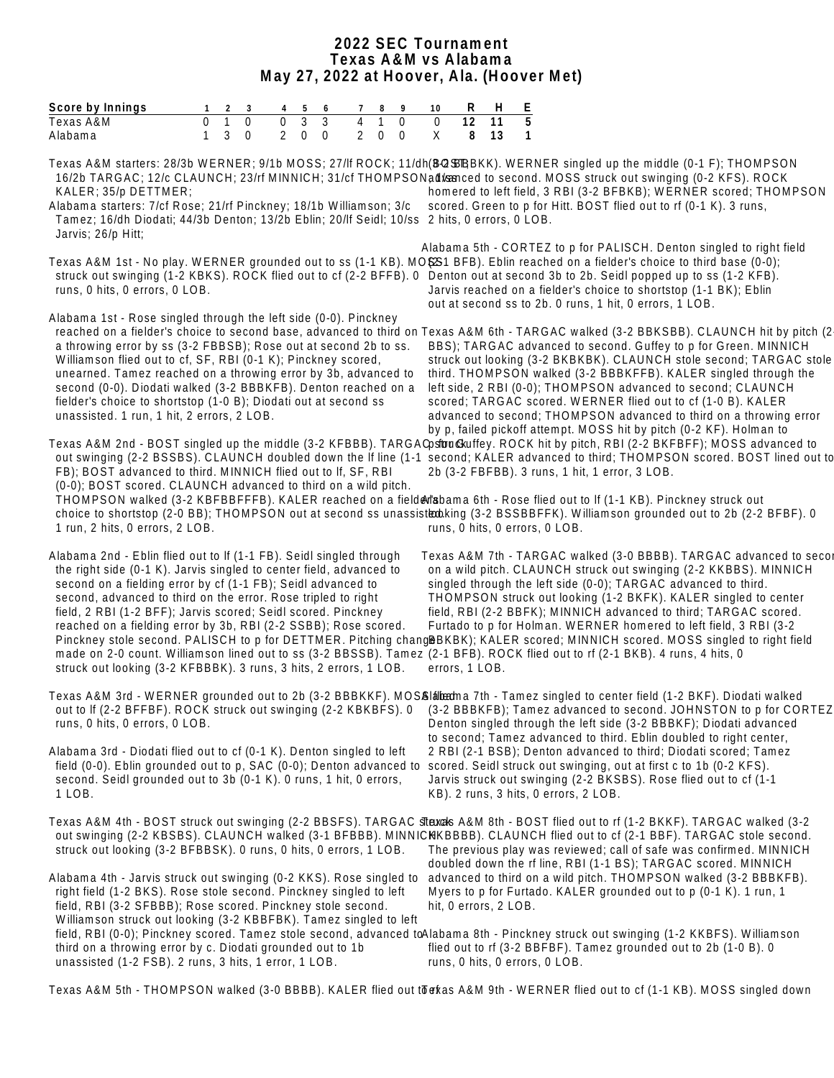#### **2022 SEC Tournament Texas A&M vs Alabama May 27, 2022 at Hoover, Ala. (Hoover Met)**

| Score by Innings                                                                                                                                                                                                                                                                                                                                                                                                                                                                                                                                                                                                                                                                                                                                                                                                                                                                                                                                                                                                    | $\mathbf{1}$      | $2 \quad 3$                                             | $4\overline{ }$                  | 5                                | $6\overline{6}$ | $7\overline{ }$                                                      | 8<br>9                        | 10                    | R                    | H        | $\frac{E}{5}$ |                                                                                                                                                                                                                                                                                                                                                                                                                                                                                                                                          |  |  |  |
|---------------------------------------------------------------------------------------------------------------------------------------------------------------------------------------------------------------------------------------------------------------------------------------------------------------------------------------------------------------------------------------------------------------------------------------------------------------------------------------------------------------------------------------------------------------------------------------------------------------------------------------------------------------------------------------------------------------------------------------------------------------------------------------------------------------------------------------------------------------------------------------------------------------------------------------------------------------------------------------------------------------------|-------------------|---------------------------------------------------------|----------------------------------|----------------------------------|-----------------|----------------------------------------------------------------------|-------------------------------|-----------------------|----------------------|----------|---------------|------------------------------------------------------------------------------------------------------------------------------------------------------------------------------------------------------------------------------------------------------------------------------------------------------------------------------------------------------------------------------------------------------------------------------------------------------------------------------------------------------------------------------------------|--|--|--|
| Texas A&M<br>Alabama                                                                                                                                                                                                                                                                                                                                                                                                                                                                                                                                                                                                                                                                                                                                                                                                                                                                                                                                                                                                | 0<br>$\mathbf{1}$ | $\overline{1}$<br>$\overline{0}$<br>3<br>$\overline{0}$ | $\overline{0}$<br>$\overline{2}$ | $\overline{3}$<br>$\overline{0}$ | 3<br>$\Omega$   | $\overline{4}$<br>$\overline{1}$<br>$\overline{0}$<br>$\overline{2}$ | $\mathbf 0$<br>$\overline{0}$ | $\overline{0}$<br>X   | $\overline{12}$<br>8 | 11<br>13 | $\mathbf 1$   |                                                                                                                                                                                                                                                                                                                                                                                                                                                                                                                                          |  |  |  |
| Texas A&M starters: 28/3b WERNER; 9/1b MOSS; 27/lf ROCK; 11/dh(BQ\$BBKK). WERNER singled up the middle (0-1 F); THOMPSON<br>16/2b TARGAC; 12/c CLAUNCH; 23/rf MINNICH; 31/cf THOMPSONadl/canced to second. MOSS struck out swinging (0-2 KFS). ROCK<br>KALER; 35/p DETTMER;<br>Alabama starters: 7/cf Rose; 21/rf Pinckney; 18/1b Williamson; 3/c<br>Tamez; 16/dh Diodati; 44/3b Denton; 13/2b Eblin; 20/lf Seidl; 10/ss 2 hits, 0 errors, 0 LOB.<br>Jarvis; 26/p Hitt;                                                                                                                                                                                                                                                                                                                                                                                                                                                                                                                                             |                   |                                                         |                                  |                                  |                 |                                                                      |                               |                       |                      |          |               | homered to left field, 3 RBI (3-2 BFBKB); WERNER scored; THOMPSON<br>scored. Green to p for Hitt. BOST flied out to rf (0-1 K). 3 runs,                                                                                                                                                                                                                                                                                                                                                                                                  |  |  |  |
| Texas A&M 1st - No play. WERNER grounded out to ss (1-1 KB). MO\$ 21 BFB). Eblin reached on a fielder's choice to third base (0-0);<br>struck out swinging (1-2 KBKS). ROCK flied out to cf (2-2 BFFB). 0 Denton out at second 3b to 2b. Seidl popped up to ss (1-2 KFB).<br>runs, 0 hits, 0 errors, 0 LOB.                                                                                                                                                                                                                                                                                                                                                                                                                                                                                                                                                                                                                                                                                                         |                   |                                                         |                                  |                                  |                 |                                                                      |                               |                       |                      |          |               | Alabama 5th - CORTEZ to p for PALISCH. Denton singled to right field<br>Jarvis reached on a fielder's choice to shortstop (1-1 BK); Eblin<br>out at second ss to 2b. 0 runs, 1 hit, 0 errors, 1 LOB.                                                                                                                                                                                                                                                                                                                                     |  |  |  |
| Alabama 1st - Rose singled through the left side (0-0). Pinckney<br>reached on a fielder's choice to second base, advanced to third on Texas A&M 6th - TARGAC walked (3-2 BBKSBB). CLAUNCH hit by pitch (2<br>a throwing error by ss (3-2 FBBSB); Rose out at second 2b to ss.<br>Williamson flied out to cf, SF, RBI (0-1 K); Pinckney scored,<br>unearned. Tamez reached on a throwing error by 3b, advanced to<br>second (0-0). Diodati walked (3-2 BBBKFB). Denton reached on a<br>fielder's choice to shortstop (1-0 B); Diodati out at second ss<br>unassisted. 1 run, 1 hit, 2 errors, 2 LOB.<br>Texas A&M 2nd - BOST singled up the middle (3-2 KFBBB). TARGAQsttru@kuffey. ROCK hit by pitch, RBI (2-2 BKFBFF); MOSS advanced to<br>out swinging (2-2 BSSBS). CLAUNCH doubled down the If line (1-1 second; KALER advanced to third; THOMPSON scored. BOST lined out to<br>FB); BOST advanced to third. MINNICH flied out to If, SF, RBI<br>(0-0); BOST scored. CLAUNCH advanced to third on a wild pitch. |                   |                                                         |                                  |                                  |                 |                                                                      |                               |                       |                      |          |               | BBS); TARGAC advanced to second. Guffey to p for Green. MINNICH<br>struck out looking (3-2 BKBKBK). CLAUNCH stole second; TARGAC stole<br>third. THOMPSON walked (3-2 BBBKFFB). KALER singled through the<br>left side, 2 RBI (0-0); THOMPSON advanced to second; CLAUNCH<br>scored; TARGAC scored. WERNER flied out to cf (1-0 B). KALER<br>advanced to second; THOMPSON advanced to third on a throwing error<br>by p, failed pickoff attempt. MOSS hit by pitch (0-2 KF). Holman to<br>2b (3-2 FBFBB). 3 runs, 1 hit, 1 error, 3 LOB. |  |  |  |
| THOMPSON walked (3-2 KBFBBFFFB). KALER reached on a field@rlabama 6th - Rose flied out to If (1-1 KB). Pinckney struck out<br>choice to shortstop (2-0 BB); THOMPSON out at second ss unassisted bing (3-2 BSSBBFFK). Williamson grounded out to 2b (2-2 BFBF). 0<br>1 run, 2 hits, 0 errors, 2 LOB.                                                                                                                                                                                                                                                                                                                                                                                                                                                                                                                                                                                                                                                                                                                |                   |                                                         |                                  |                                  |                 |                                                                      |                               |                       |                      |          |               | runs, 0 hits, 0 errors, 0 LOB.                                                                                                                                                                                                                                                                                                                                                                                                                                                                                                           |  |  |  |
| Alabama 2nd - Eblin flied out to If (1-1 FB). Seidl singled through<br>the right side (0-1 K). Jarvis singled to center field, advanced to<br>second on a fielding error by cf (1-1 FB); Seidl advanced to<br>second, advanced to third on the error. Rose tripled to right<br>field, 2 RBI (1-2 BFF); Jarvis scored; Seidl scored. Pinckney<br>reached on a fielding error by 3b, RBI (2-2 SSBB); Rose scored.<br>Pinckney stole second. PALISCH to p for DETTMER. Pitching chang@BKBK); KALER scored; MINNICH scored. MOSS singled to right field<br>made on 2-0 count. Williamson lined out to ss (3-2 BBSSB). Tamez (2-1 BFB). ROCK flied out to rf (2-1 BKB). 4 runs, 4 hits, 0<br>struck out looking (3-2 KFBBBK). 3 runs, 3 hits, 2 errors, 1 LOB.                                                                                                                                                                                                                                                           |                   |                                                         |                                  |                                  |                 |                                                                      |                               | errors, 1 LOB.        |                      |          |               | Texas A&M 7th - TARGAC walked (3-0 BBBB). TARGAC advanced to secol<br>on a wild pitch. CLAUNCH struck out swinging (2-2 KKBBS). MINNICH<br>singled through the left side (0-0); TARGAC advanced to third.<br>THOMPSON struck out looking (1-2 BKFK). KALER singled to center<br>field, RBI (2-2 BBFK); MINNICH advanced to third; TARGAC scored.<br>Furtado to p for Holman. WERNER homered to left field, 3 RBI (3-2                                                                                                                    |  |  |  |
| Texas A&M 3rd - WERNER grounded out to 2b (3-2 BBBKKF). MOS&latibatha 7th - Tamez singled to center field (1-2 BKF). Diodati walked<br>out to If (2-2 BFFBF). ROCK struck out swinging (2-2 KBKBFS). 0 (3-2 BBBKFB); Tamez advanced to second. JOHNSTON to p for CORTEZ<br>runs, 0 hits, 0 errors, 0 LOB.<br>Alabama 3rd - Diodati flied out to cf (0-1 K). Denton singled to left                                                                                                                                                                                                                                                                                                                                                                                                                                                                                                                                                                                                                                  |                   |                                                         |                                  |                                  |                 |                                                                      |                               |                       |                      |          |               | Denton singled through the left side (3-2 BBBKF); Diodati advanced<br>to second; Tamez advanced to third. Eblin doubled to right center,<br>2 RBI (2-1 BSB); Denton advanced to third; Diodati scored; Tamez                                                                                                                                                                                                                                                                                                                             |  |  |  |
| field (0-0). Eblin grounded out to p, SAC (0-0); Denton advanced to scored. Seidl struck out swinging, out at first c to 1b (0-2 KFS).<br>second. Seidl grounded out to 3b (0-1 K). 0 runs, 1 hit, 0 errors,<br>1 LOB.                                                                                                                                                                                                                                                                                                                                                                                                                                                                                                                                                                                                                                                                                                                                                                                              |                   |                                                         |                                  |                                  |                 |                                                                      |                               |                       |                      |          |               | Jarvis struck out swinging (2-2 BKSBS). Rose flied out to cf (1-1<br>KB). 2 runs, 3 hits, 0 errors, 2 LOB.                                                                                                                                                                                                                                                                                                                                                                                                                               |  |  |  |
| Texas A&M 4th - BOST struck out swinging (2-2 BBSFS). TARGAC staxas A&M 8th - BOST flied out to rf (1-2 BKKF). TARGAC walked (3-2<br>out swinging (2-2 KBSBS). CLAUNCH walked (3-1 BFBBB). MINNICKKBBBB). CLAUNCH flied out to cf (2-1 BBF). TARGAC stole second.<br>struck out looking (3-2 BFBBSK). 0 runs, 0 hits, 0 errors, 1 LOB.<br>Alabama 4th - Jarvis struck out swinging (0-2 KKS). Rose singled to<br>right field (1-2 BKS). Rose stole second. Pinckney singled to left<br>field, RBI (3-2 SFBBB); Rose scored. Pinckney stole second.                                                                                                                                                                                                                                                                                                                                                                                                                                                                  |                   |                                                         |                                  |                                  |                 |                                                                      |                               | hit, 0 errors, 2 LOB. |                      |          |               | The previous play was reviewed; call of safe was confirmed. MINNICH<br>doubled down the rf line, RBI (1-1 BS); TARGAC scored. MINNICH<br>advanced to third on a wild pitch. THOMPSON walked (3-2 BBBKFB).<br>Myers to p for Furtado. KALER grounded out to p (0-1 K). 1 run, 1                                                                                                                                                                                                                                                           |  |  |  |
| Williamson struck out looking (3-2 KBBFBK). Tamez singled to left<br>field, RBI (0-0); Pinckney scored. Tamez stole second, advanced toAlabama 8th - Pinckney struck out swinging (1-2 KKBFS). Williamson<br>third on a throwing error by c. Diodati grounded out to 1b<br>unassisted (1-2 FSB). 2 runs, 3 hits, 1 error, 1 LOB.                                                                                                                                                                                                                                                                                                                                                                                                                                                                                                                                                                                                                                                                                    |                   |                                                         |                                  |                                  |                 |                                                                      |                               |                       |                      |          |               | flied out to rf (3-2 BBFBF). Tamez grounded out to 2b (1-0 B). 0<br>runs, 0 hits, 0 errors, 0 LOB.                                                                                                                                                                                                                                                                                                                                                                                                                                       |  |  |  |

Texas A&M 5th - THOMPSON walked (3-0 BBBB). KALER flied out toefkas A&M 9th - WERNER flied out to cf (1-1 KB). MOSS singled down